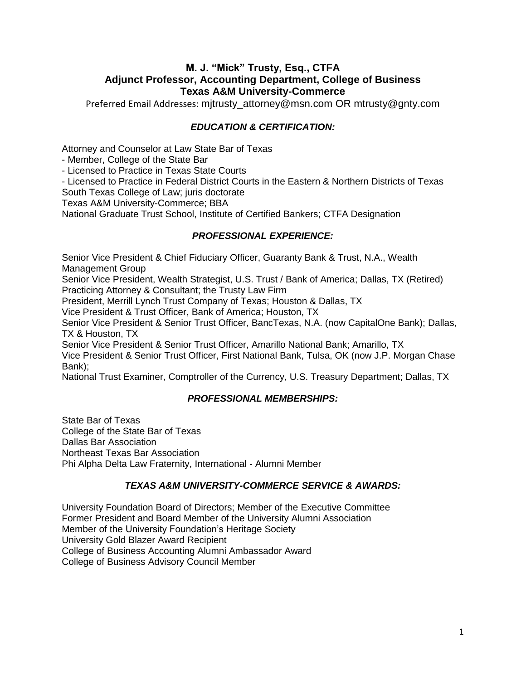# **M. J. "Mick" Trusty, Esq., CTFA Adjunct Professor, Accounting Department, College of Business Texas A&M University-Commerce**

Preferred Email Addresses: mitrusty\_attorney@msn.com OR mtrusty@gnty.com

# *EDUCATION & CERTIFICATION:*

Attorney and Counselor at Law State Bar of Texas

- Member, College of the State Bar

- Licensed to Practice in Texas State Courts

- Licensed to Practice in Federal District Courts in the Eastern & Northern Districts of Texas South Texas College of Law; juris doctorate

Texas A&M University-Commerce; BBA

National Graduate Trust School, Institute of Certified Bankers; CTFA Designation

### *PROFESSIONAL EXPERIENCE:*

Senior Vice President & Chief Fiduciary Officer, Guaranty Bank & Trust, N.A., Wealth Management Group

Senior Vice President, Wealth Strategist, U.S. Trust / Bank of America; Dallas, TX (Retired) Practicing Attorney & Consultant; the Trusty Law Firm

President, Merrill Lynch Trust Company of Texas; Houston & Dallas, TX

Vice President & Trust Officer, Bank of America; Houston, TX

Senior Vice President & Senior Trust Officer, BancTexas, N.A. (now CapitalOne Bank); Dallas, TX & Houston, TX

Senior Vice President & Senior Trust Officer, Amarillo National Bank; Amarillo, TX Vice President & Senior Trust Officer, First National Bank, Tulsa, OK (now J.P. Morgan Chase Bank);

National Trust Examiner, Comptroller of the Currency, U.S. Treasury Department; Dallas, TX

#### *PROFESSIONAL MEMBERSHIPS:*

State Bar of Texas College of the State Bar of Texas Dallas Bar Association Northeast Texas Bar Association Phi Alpha Delta Law Fraternity, International - Alumni Member

# *TEXAS A&M UNIVERSITY-COMMERCE SERVICE & AWARDS:*

University Foundation Board of Directors; Member of the Executive Committee Former President and Board Member of the University Alumni Association Member of the University Foundation's Heritage Society University Gold Blazer Award Recipient College of Business Accounting Alumni Ambassador Award College of Business Advisory Council Member